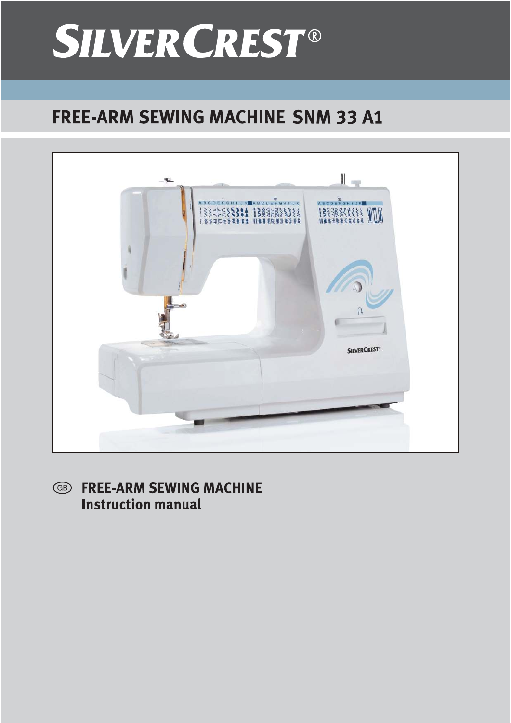# **SILVER CREST®**

# **FREE-ARM SEWING MACHINE SNM 33 A1**



**FREE-ARM SEWING MACHINE** GB) **Instruction manual**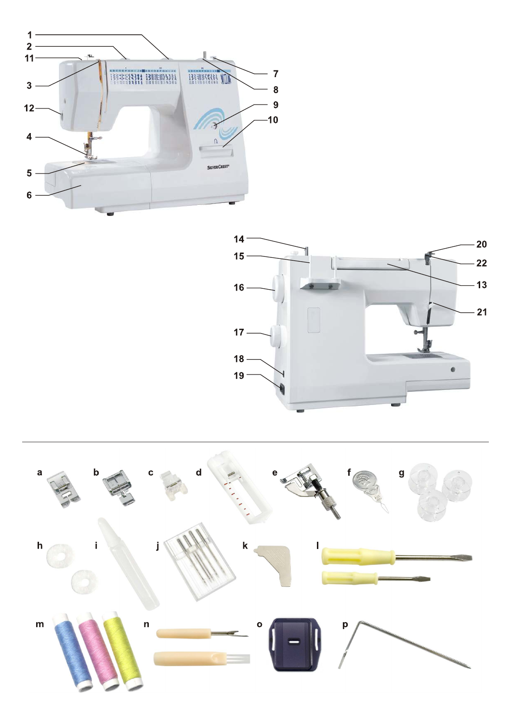



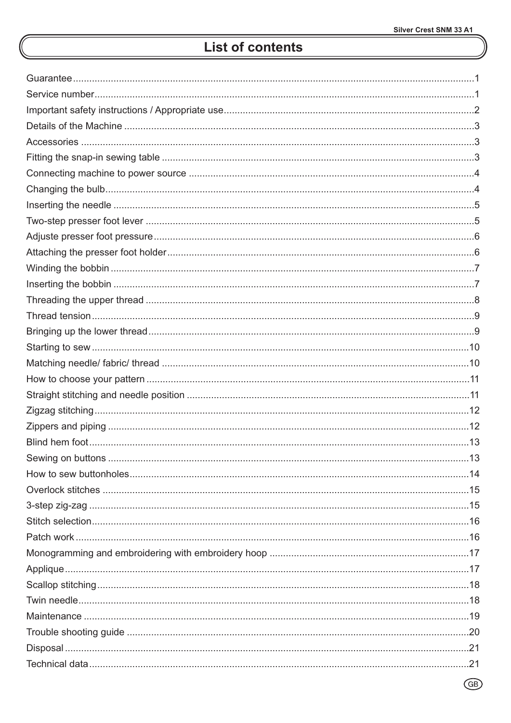# **List of contents**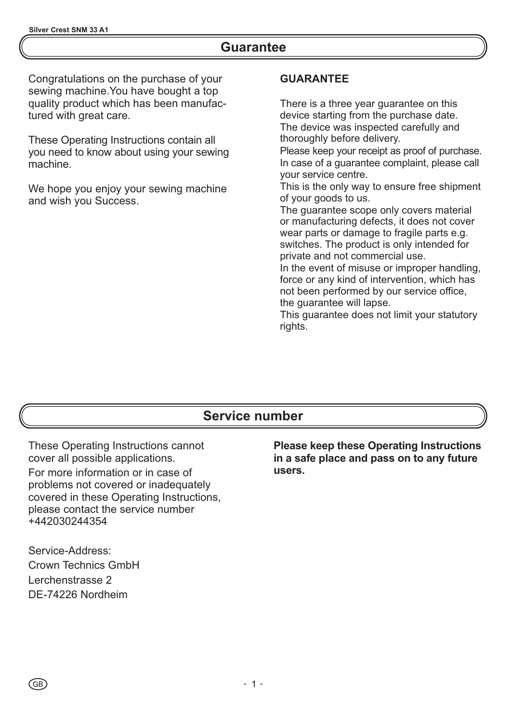### **Guarantee**

Congratulations on the purchase of your sewing machine.You have bought a top quality product which has been manufactured with great care.

These Operating Instructions contain all you need to know about using your sewing machine.

We hope you enjoy your sewing machine and wish you Success.

#### **GUARANTEE**

There is a three year guarantee on this device starting from the purchase date. The device was inspected carefully and thoroughly before delivery.

Please keep your receipt as proof of purchase. In case of a guarantee complaint, please call your service centre.

This is the only way to ensure free shipment of your goods to us.

The guarantee scope only covers material or manufacturing defects, it does not cover wear parts or damage to fragile parts e.g. switches. The product is only intended for private and not commercial use.

In the event of misuse or improper handling, force or any kind of intervention, which has not been performed by our service office, the guarantee will lapse.

This guarantee does not limit your statutory rights.

### **Service number**

These Operating Instructions cannot cover all possible applications.

For more information or in case of problems not covered or inadequately covered in these Operating Instructions, please contact the service number +442030244354

Service-Address: Crown Technics GmbH Lerchenstrasse 2 DE-74226 Nordheim

**Please keep these Operating Instructions in a safe place and pass on to any future users.**

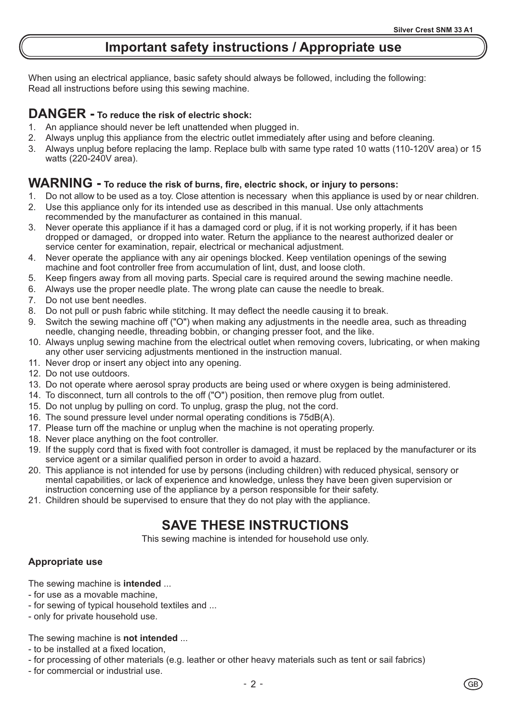# **Important safety instructions / Appropriate use**

When using an electrical appliance, basic safety should always be followed, including the following: Read all instructions before using this sewing machine.

### **DANGER - To reduce the risk of electric shock:**

- 1. An appliance should never be left unattended when plugged in.
- 2. Always unplug this appliance from the electric outlet immediately after using and before cleaning.
- 3. Always unplug before replacing the lamp. Replace bulb with same type rated 10 watts (110-120V area) or 15 watts (220-240V area).

#### **WARNING - To reduce the risk of burns, fire, electric shock, or injury to persons:**

- 1. Do not allow to be used as a toy. Close attention is necessary when this appliance is used by or near children.
- 2. Use this appliance only for its intended use as described in this manual. Use only attachments recommended by the manufacturer as contained in this manual.
- 3. Never operate this appliance if it has a damaged cord or plug, if it is not working properly, if it has been dropped or damaged, or dropped into water. Return the appliance to the nearest authorized dealer or service center for examination, repair, electrical or mechanical adjustment.
- 4. Never operate the appliance with any air openings blocked. Keep ventilation openings of the sewing machine and foot controller free from accumulation of lint, dust, and loose cloth.
- 5. Keep fingers away from all moving parts. Special care is required around the sewing machine needle.
- 6. Always use the proper needle plate. The wrong plate can cause the needle to break.
- 7. Do not use bent needles.
- 8. Do not pull or push fabric while stitching. It may deflect the needle causing it to break.
- 9. Switch the sewing machine off ("O") when making any adjustments in the needle area, such as threading needle, changing needle, threading bobbin, or changing presser foot, and the like.
- 10. Always unplug sewing machine from the electrical outlet when removing covers, lubricating, or when making any other user servicing adjustments mentioned in the instruction manual.
- 11. Never drop or insert any object into any opening.
- 12. Do not use outdoors.
- 13. Do not operate where aerosol spray products are being used or where oxygen is being administered.
- 14. To disconnect, turn all controls to the off ("O") position, then remove plug from outlet.
- 15. Do not unplug by pulling on cord. To unplug, grasp the plug, not the cord.
- 16. The sound pressure level under normal operating conditions is 75dB(A).
- 17. Please turn off the machine or unplug when the machine is not operating properly.
- 18. Never place anything on the foot controller.
- 19. If the supply cord that is fixed with foot controller is damaged, it must be replaced by the manufacturer or its service agent or a similar qualified person in order to avoid a hazard.
- 20. This appliance is not intended for use by persons (including children) with reduced physical, sensory or mental capabilities, or lack of experience and knowledge, unless they have been given supervision or instruction concerning use of the appliance by a person responsible for their safety.
- 21. Children should be supervised to ensure that they do not play with the appliance.

# **SAVE THESE INSTRUCTIONS**

This sewing machine is intended for household use only.

#### **Appropriate use**

The sewing machine is **intended** ...

- for use as a movable machine,
- for sewing of typical household textiles and ...
- only for private household use.

#### The sewing machine is **not intended** ...

- to be installed at a fixed location,
- for processing of other materials (e.g. leather or other heavy materials such as tent or sail fabrics)
- for commercial or industrial use.

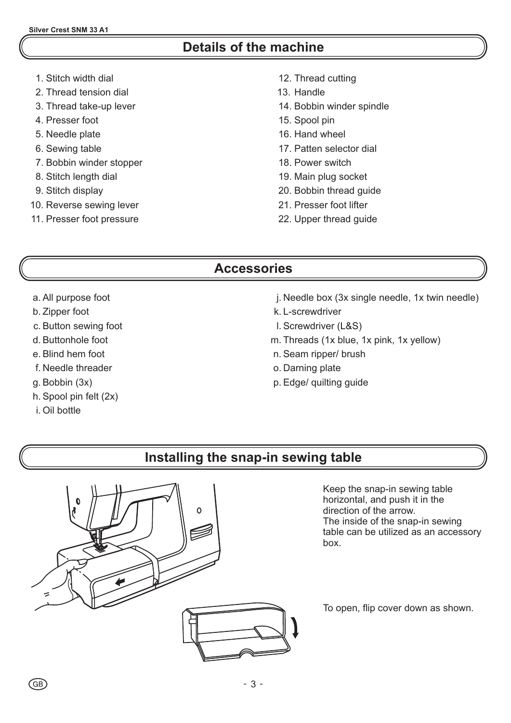# **Details of the machine**

- 1. Stitch width dial
- 2. Thread tension dial
- 3. Thread take-up lever
- 4. Presser foot
- 5. Needle plate
- 6. Sewing table
- 7. Bobbin winder stopper
- 8. Stitch length dial
- 9. Stitch display
- 10. Reverse sewing lever
- 11. Presser foot pressure
- 12. Thread cutting
- 13. Handle
- 14. Bobbin winder spindle
- 15. Spool pin
- 16. Hand wheel
- 17. Patten selector dial
- 18. Power switch
- 19. Main plug socket
- 20. Bobbin thread guide
- 21. Presser foot lifter
- 22. Upper thread guide

# **Accessories**

- a . All purpose foot
- b. Zipper foot
- c. Button sewing foot
- d. Buttonhole foot
- e. Blind hem foot
- f. Needle threader
- g. Bobbin (3x)
- h. Spool pin felt (2x)
- i. Oil bottle

(GB)

- j. N eedle box (3x single needle, 1x twin needle)
- k. L-screwdriver
- l. Screwdriver (L&S)
- m. Threads (1x blue, 1x pink, 1x yellow)
- n. Seam ripper/ brush
- o. Darning plate
- p. Edge/ quilting guide

# **Installing the snap-in sewing table**



Keep the snap-in sewing table horizontal, and push it in the direction of the arrow. The inside of the snap-in sewing table can be utilized as an accessory box.

To open, flip cover down as shown.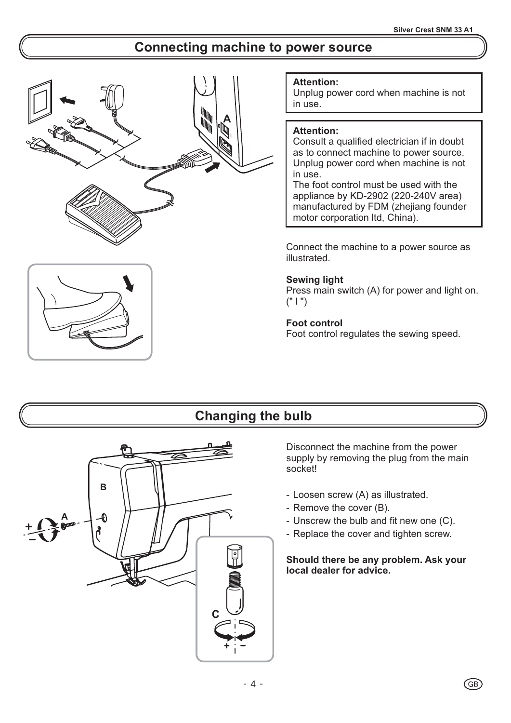# **Connecting machine to power source**





#### **Attention:**

Unplug power cord when machine is not in use.

#### **Attention:**

Consult a qualified electrician if in doubt as to connect machine to power source. Unplug power cord when machine is not in use.

The foot control must be used with the appliance by KD-2902 (220-240V area) manufactured by FDM (zhejiang founder motor corporation ltd, China).

Connect the machine to a power source as illustrated.

#### **Sewing light**

Press main switch (A) for power and light on.  $(" | ")$ 

#### **Foot control**

Foot control regulates the sewing speed.

# **Changing the bulb**



Disconnect the machine from the power supply by removing the plug from the main socket!

- Loosen screw (A) as illustrated.
- Remove the cover (B).
- Unscrew the bulb and fit new one (C).
- Replace the cover and tighten screw.

#### **Should there be any problem. Ask your local dealer for advice.**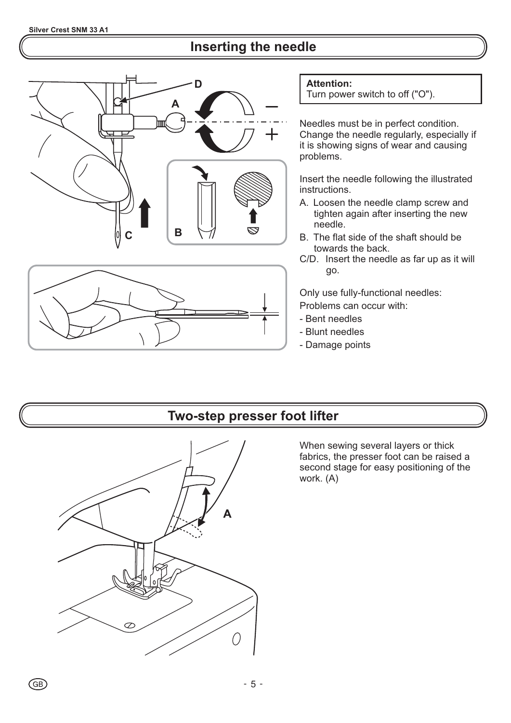# **Inserting the needle**





**Attention:**

Turn power switch to off ("O").

Needles must be in perfect condition. Change the needle regularly, especially if it is showing signs of wear and causing problems.

Insert the needle following the illustrated instructions.

- A. Loosen the needle clamp screw and tighten again after inserting the new needle.
- B. The flat side of the shaft should be towards the back.
- C/D. Insert the needle as far up as it will go.

Only use fully-functional needles:

- Problems can occur with:
- Bent needles
- Blunt needles
- Damage points

## **Two-step presser foot lifter**



When sewing several layers or thick fabrics, the presser foot can be raised a second stage for easy positioning of the work. (A)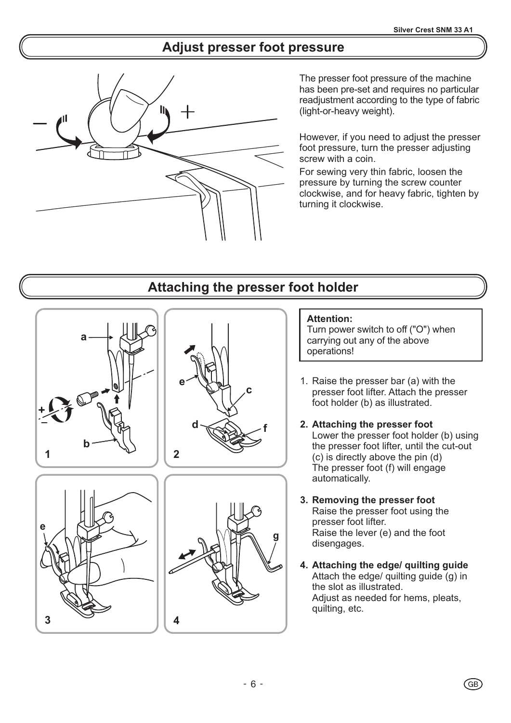# **Adjust presser foot pressure**



The presser foot pressure of the machine has been pre-set and requires no particular readjustment according to the type of fabric (light-or-heavy weight).

However, if you need to adjust the presser foot pressure, turn the presser adjusting screw with a coin.

For sewing very thin fabric, loosen the pressure by turning the screw counter clockwise, and for heavy fabric, tighten by turning it clockwise.

# **Attaching the presser foot holder**

**c**

**f**

**g**

**d**

**e**





#### **Attention:**

Turn power switch to off ("O") when carrying out any of the above operations!

- 1. Raise the presser bar (a) with the presser foot lifter. Attach the presser foot holder (b) as illustrated.
- **2. Attaching the presser foot** Lower the presser foot holder (b) using the presser foot lifter, until the cut-out (c) is directly above the pin (d) The presser foot (f) will engage automatically.
- **3. Removing the presser foot** Raise the presser foot using the presser foot lifter. Raise the lever (e) and the foot disengages.
- **4. Attaching the edge/ quilting guide** Attach the edge/ quilting guide (g) in the slot as illustrated. Adjust as needed for hems, pleats, quilting, etc.

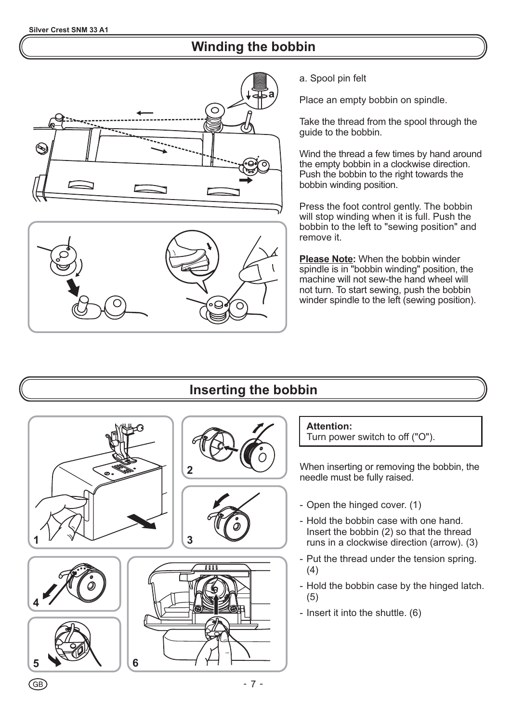# **Winding the bobbin**





a. Spool pin felt

Place an empty bobbin on spindle.

Take the thread from the spool through the guide to the bobbin.

Wind the thread a few times by hand around the empty bobbin in a clockwise direction. Push the bobbin to the right towards the bobbin winding position.

Press the foot control gently. The bobbin will stop winding when it is full. Push the bobbin to the left to "sewing position" and remove it.

Please Note: When the bobbin winder spindle is in "bobbin winding" position, the machine will not sew-the hand wheel will not turn. To start sewing, push the bobbin winder spindle to the left (sewing position).

# **Inserting the bobbin**













#### **Attention:**

Turn power switch to off ("O").

When inserting or removing the bobbin, the needle must be fully raised.

- Open the hinged cover. (1)
- Hold the bobbin case with one hand. Insert the bobbin (2) so that the thread runs in a clockwise direction (arrow). (3)
- Put the thread under the tension spring. (4)
- Hold the bobbin case by the hinged latch. (5)
- Insert it into the shuttle. (6)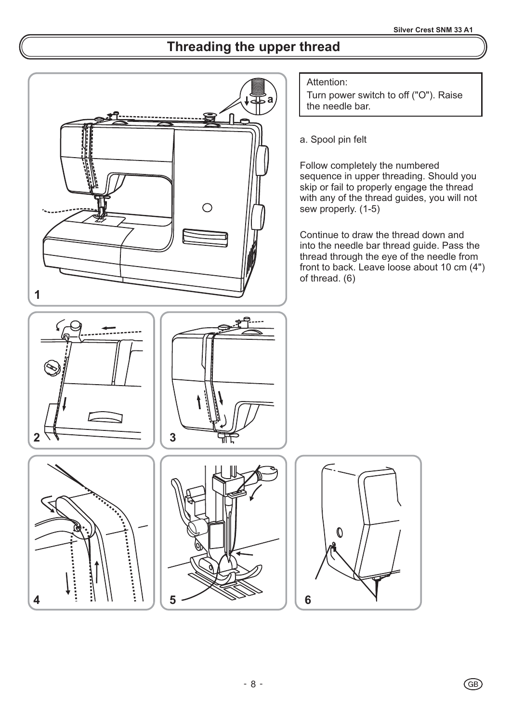GB)

# **Threading the upper thread**

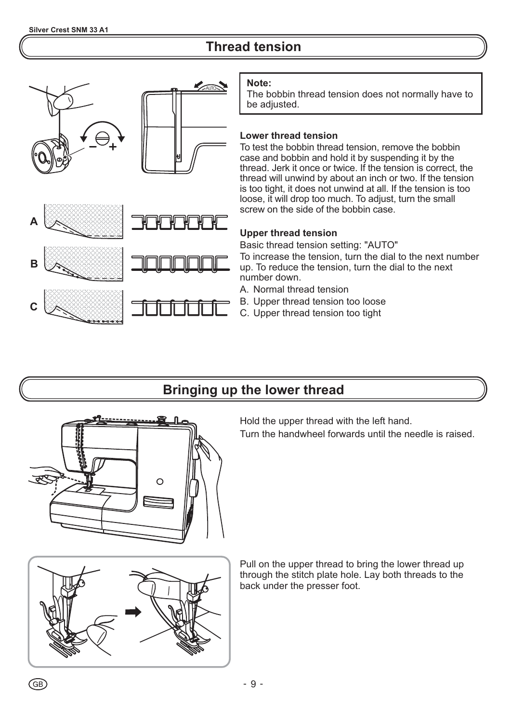# **Thread tension**



#### **Note:**

The bobbin thread tension does not normally have to be adjusted.

#### **Lower thread tension**

To test the bobbin thread tension, remove the bobbin case and bobbin and hold it by suspending it by the thread. Jerk it once or twice. If the tension is correct, the thread will unwind by about an inch or two. If the tension is too tight, it does not unwind at all. If the tension is too loose, it will drop too much. To adjust, turn the small screw on the side of the bobbin case.

#### **Upper thread tension**

Basic thread tension setting: "AUTO"

To increase the tension, turn the dial to the next number up. To reduce the tension, turn the dial to the next number down.

A. Normal thread tension

- B. Upper thread tension too loose
- C. Upper thread tension too tight

# **Bringing up the lower thread**



Hold the upper thread with the left hand.

Turn the handwheel forwards until the needle is raised.



Pull on the upper thread to bring the lower thread up through the stitch plate hole. Lay both threads to the back under the presser foot.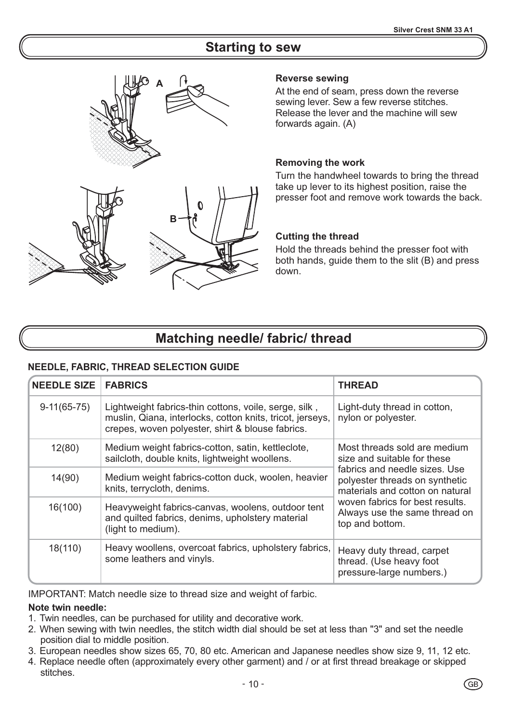### **Starting to sew**



**B**

#### **Reverse sewing**

At the end of seam, press down the reverse sewing lever. Sew a few reverse stitches. Release the lever and the machine will sew forwards again. (A)

#### **Removing the work**

Turn the handwheel towards to bring the thread take up lever to its highest position, raise the presser foot and remove work towards the back.

#### **Cutting the thread**

Hold the threads behind the presser foot with both hands, guide them to the slit (B) and press down.

### **Matching needle/ fabric/ thread**

#### **NEEDLE, FABRIC, THREAD SELECTION GUIDE**

| <b>NEEDLE SIZE</b> | <b>FABRICS</b>                                                                                                                                                         | <b>THREAD</b>                                                                                      |
|--------------------|------------------------------------------------------------------------------------------------------------------------------------------------------------------------|----------------------------------------------------------------------------------------------------|
| $9-11(65-75)$      | Lightweight fabrics-thin cottons, voile, serge, silk,<br>muslin, Qiana, interlocks, cotton knits, tricot, jerseys,<br>crepes, woven polyester, shirt & blouse fabrics. | Light-duty thread in cotton,<br>nylon or polyester.                                                |
| 12(80)             | Medium weight fabrics-cotton, satin, kettleclote,<br>sailcloth, double knits, lightweight woollens.                                                                    | Most threads sold are medium<br>size and suitable for these                                        |
| 14(90)             | Medium weight fabrics-cotton duck, woolen, heavier<br>knits, terrycloth, denims.                                                                                       | fabrics and needle sizes. Use<br>polyester threads on synthetic<br>materials and cotton on natural |
| 16(100)            | Heavyweight fabrics-canvas, woolens, outdoor tent<br>and quilted fabrics, denims, upholstery material<br>(light to medium).                                            | woven fabrics for best results.<br>Always use the same thread on<br>top and bottom.                |
| 18(110)            | Heavy woollens, overcoat fabrics, upholstery fabrics,<br>some leathers and vinyls.                                                                                     | Heavy duty thread, carpet<br>thread. (Use heavy foot<br>pressure-large numbers.)                   |

IMPORTANT: Match needle size to thread size and weight of farbic.

#### **Note twin needle:**

- 1. Twin needles, can be purchased for utility and decorative work.
- 2. When sewing with twin needles, the stitch width dial should be set at less than "3" and set the needle position dial to middle position.
- 3. European needles show sizes 65, 70, 80 etc. American and Japanese needles show size 9, 11, 12 etc.
- 4. Replace needle often (approximately every other garment) and / or at first thread breakage or skipped stitches.

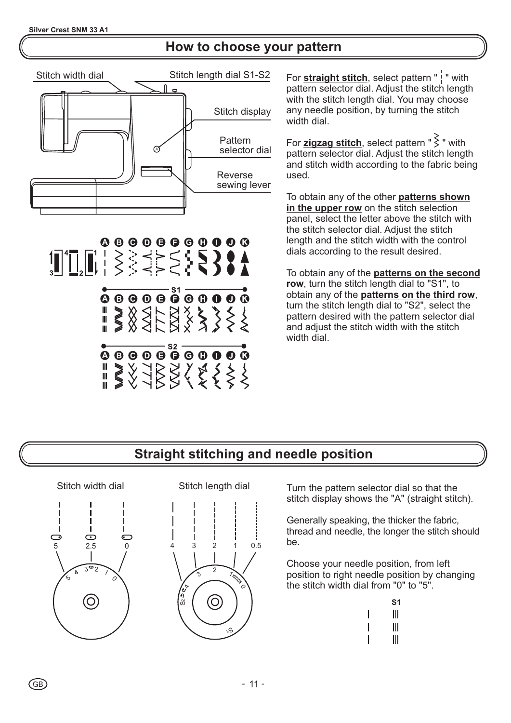# **How to choose your pattern**



 $\overbrace{ \bullet \circ \bullet \circ \bullet \circ \bullet}^{\text{S2}} \overbrace{ \bullet \circ \bullet \circ \bullet \circ}^{\text{S2}}$ ORSKALSK

For **straight stitch**, select pattern " | " with pattern selector dial. Adjust the stitch length with the stitch length dial. You may choose any needle position, by turning the stitch width dial.

For **<u>zigzag stitch</u>,** select pattern "  $\geq$  " with pattern selector dial. Adjust the stitch length and stitch width according to the fabric being used.

To obtain any of the other **patterns shown** in the upper row on the stitch selection panel, select the letter above the stitch with the stitch selector dial. Adjust the stitch length and the stitch width with the control dials according to the result desired.

To obtain any of the **patterns on the second** , turn the stitch length dial to "S1", to **row** obtain any of the **patterns on the third row**, turn the stitch length dial to "S2", select the pattern desired with the pattern selector dial and adjust the stitch width with the stitch width dial.

# **Straight stitching and needle position**

H  $\odot$  $\bigcirc$ 5 2.5 0 3°2 41 ′ 0  $\widehat{\circ}$ 

Stitch width dial



Turn the pattern selector dial so that the stitch display shows the "A" (straight stitch).

Generally speaking, the thicker the fabric, thread and needle, the longer the stitch should be.

Choose your needle position, from left position to right needle position by changing the stitch width dial from "0" to "5".

| S1 |
|----|
| Ш  |
| Ш  |
| Ⅲ  |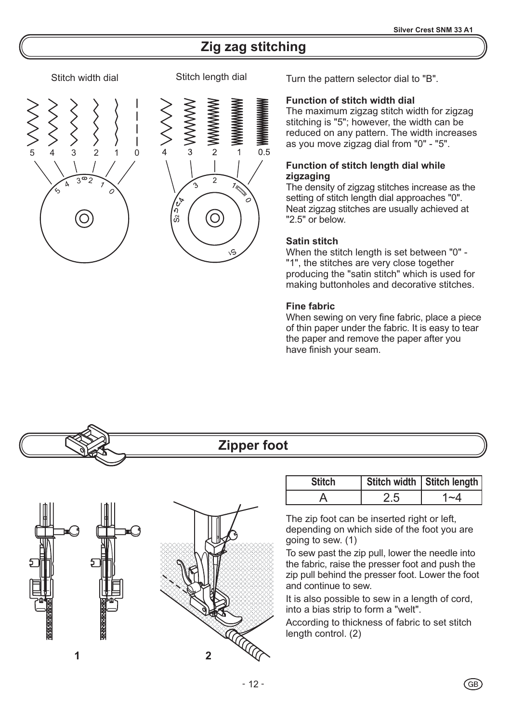# **Zig zag stitching**







Turn the pattern selector dial to "B".

#### **Function of stitch width dial**

The maximum zigzag stitch width for zigzag stitching is "5"; however, the width can be reduced on any pattern. The width increases as you move zigzag dial from "0" - "5".

#### **Function of stitch length dial while zigzaging**

The density of zigzag stitches increase as the setting of stitch length dial approaches "0". Neat zigzag stitches are usually achieved at "2.5" or below.

#### **Satin stitch**

When the stitch length is set between "0" - "1", the stitches are very close together producing the "satin stitch" which is used for making buttonholes and decorative stitches.

#### **Fine fabric**

When sewing on very fine fabric, place a piece of thin paper under the fabric. It is easy to tear the paper and remove the paper after you have finish your seam.

# **Zipper foot** Stitch | Stitch width | Stitch length A 2.5 1~4 The zip foot can be inserted right or left, depending on which side of the foot you are going to sew. (1) To sew past the zip pull, lower the needle into the fabric, raise the presser foot and push the zip pull behind the presser foot. Lower the foot and continue to sew. It is also possible to sew in a length of cord, into a bias strip to form a "welt". According to thickness of fabric to set stitch length control. (2) **1 2**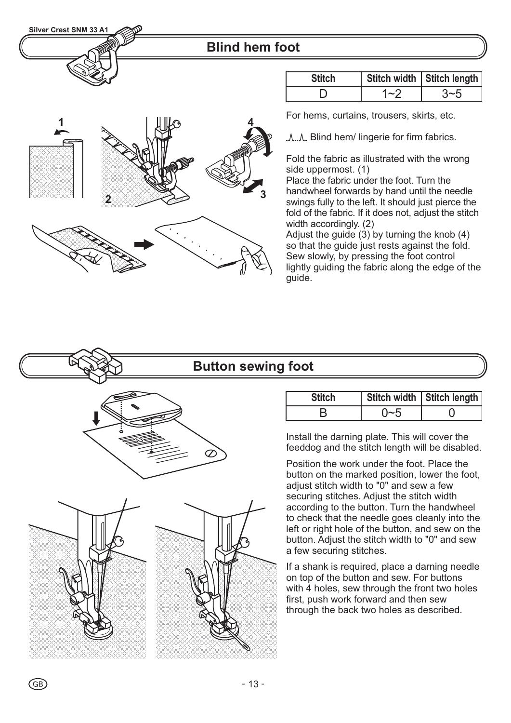### **Blind hem foot**

| ٠<br>£ | 3 |
|--------|---|
|        |   |

| <b>Stitch</b> | Stitch width   Stitch length |
|---------------|------------------------------|
|               |                              |

For hems, curtains, trousers, skirts, etc.

.A..A. Blind hem/ lingerie for firm fabrics.

Fold the fabric as illustrated with the wrong side uppermost. (1)

Place the fabric under the foot. Turn the handwheel forwards by hand until the needle swings fully to the left. It should just pierce the fold of the fabric. If it does not, adjust the stitch width accordingly. (2)

Adjust the guide  $(3)$  by turning the knob  $(4)$ so that the guide just rests against the fold. Sew slowly, by pressing the foot control lightly guiding the fabric along the edge of the guide.

### **Button sewing foot**



 $G$ B

| <b>Stitch</b> | Stitch width   Stitch length |
|---------------|------------------------------|
|               |                              |

Install the darning plate. This will cover the feeddog and the stitch length will be disabled .

Position the work under the foot. Place the button on the marked position, lower the foot, adjust stitch width to "0" and sew a few securing stitches. Adjust the stitch width according to the button. Turn the handwheel to check that the needle goes cleanly into the left or right hole of the button, and sew on the button. Adjust the stitch width to "0" and sew a few securing stitches.

If a shank is required, place a darning needle on top of the button and sew. For buttons with 4 holes, sew through the front two holes first, push work forward and then sew through the back two holes as described.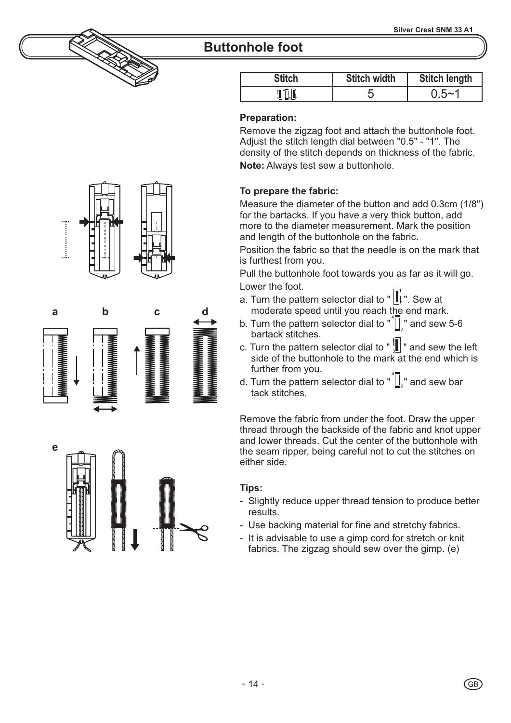# **Buttonhole foot**

| <b>Stitch</b> | <b>Stitch width</b> | <b>Stitch length</b> |
|---------------|---------------------|----------------------|
|               |                     | $0.5 - 7$            |

#### **Preparation:**

**Note:** Always test sew a buttonhole. Remove the zigzag foot and attach the buttonhole foot. Adjust the stitch length dial between "0.5" - "1". The density of the stitch depends on thickness of the fabric.

#### **To prepare the fabric:**

Measure the diameter of the button and add 0.3cm (1/8") for the bartacks. If you have a very thick button, add more to the diameter measurement. Mark the position and length of the buttonhole on the fabric.

Position the fabric so that the needle is on the mark that is furthest from you.

Pull the buttonhole foot towards you as far as it will go. Lower the foot.

- a. Turn the pattern selector dial to  $\| \cdot \|$ . Sew at moderate speed until you reach the end mark.
- b. Turn the pattern selector dial to  $\sqrt[n]{\cdot}$  and sew 5-6 bartack stitches.
- c. Turn the pattern selector dial to  $"\frac{1}{3}$  and sew the left side of the buttonhole to the mark at the end which is further from you.
- d. Turn the pattern selector dial to  $\sqrt[n]{\cdot}$  and sew bar tack stitches.

Remove the fabric from under the foot. Draw the upper thread through the backside of the fabric and knot upper and lower threads. Cut the center of the buttonhole with the seam ripper, being careful not to cut the stitches on either side.

#### **Tips:**

- Slightly reduce upper thread tension to produce better results.
- Use backing material for fine and stretchy fabrics.
- It is advisable to use a gimp cord for stretch or knit fabrics. The zigzag should sew over the gimp. (e)







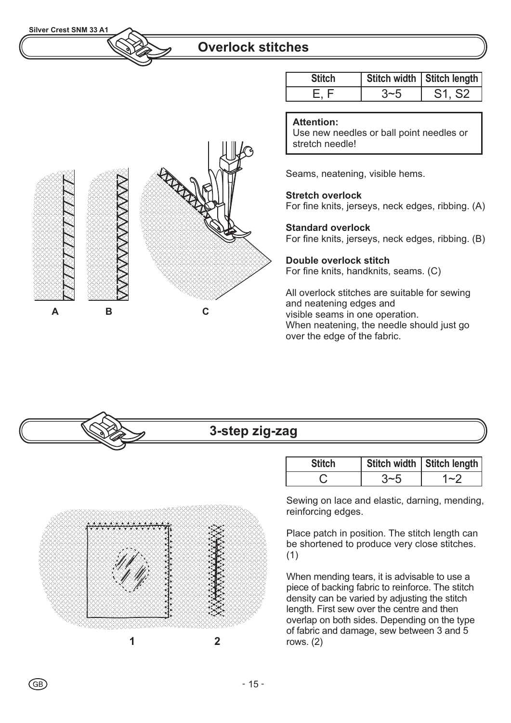### **Overlock stitches**

|   | $\sqrt{N} \overline{N} \overline{N} \overline{N}$<br>$\overline{N}\overline{N}\overline{N}$ | RAD |
|---|---------------------------------------------------------------------------------------------|-----|
| Α | B                                                                                           | С   |

| <b>Stitch</b> |         | Stitch width   Stitch length |
|---------------|---------|------------------------------|
|               | $3 - 5$ | S1, S2                       |

#### **Attention:**

Use new needles or ball point needles or stretch needle!

Seams, neatening, visible hems.

#### **Stretch overlock**

For fine knits, jerseys, neck edges, ribbing. (A)

#### **Standard overlock**

For fine knits, jerseys, neck edges, ribbing. (B)

#### **Double overlock stitch** For fine knits, handknits, seams. (C)

All overlock stitches are suitable for sewing and neatening edges and visible seams in one operation. When neatening, the needle should just go over the edge of the fabric.

# **3-step zig-zag**



 $\left($ GB $\right)$ 

Stitch | Stitch width | Stitch length  $C = 3-5$   $1-2$ 

Sewing on lace and elastic, darning, mending, reinforcing edges.

Place patch in position. The stitch length can be shortened to produce very close stitches. (1)

When mending tears, it is advisable to use a piece of backing fabric to reinforce. The stitch density can be varied by adjusting the stitch length. First sew over the centre and then overlap on both sides. Depending on the type of fabric and damage, sew between 3 and 5 rows. (2)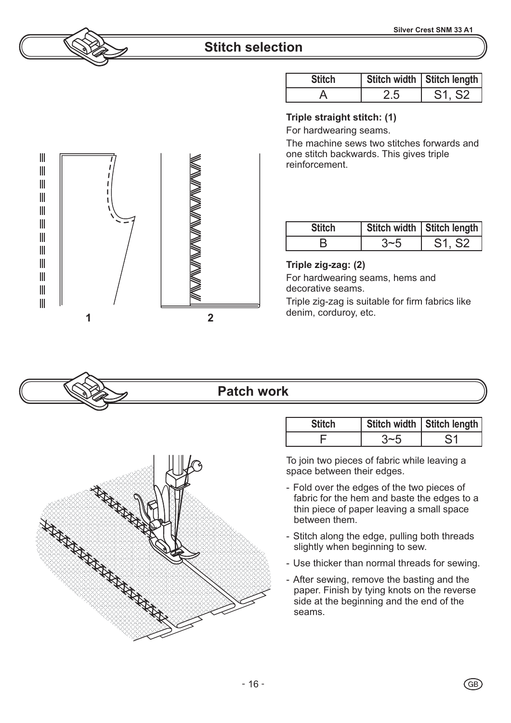# **Stitch selection**

| <b>Stitch</b> |    | Stitch width   Stitch length    |
|---------------|----|---------------------------------|
|               | 25 | S <sub>1</sub> , S <sub>2</sub> |

#### **Triple straight stitch: (1)**

For hardwearing seams.

The machine sews two stitches forwards and one stitch backwards. This gives triple reinforcement.

| <b>Stitch</b> | Stitch width   Stitch length |
|---------------|------------------------------|
|               | S1. S2                       |

#### **Triple zig-zag: (2)**

For hardwearing seams, hems and decorative seams.

Triple zig-zag is suitable for firm fabrics like

### **Patch work**

| <b>Stitch</b> | Stitch width   Stitch length |
|---------------|------------------------------|
|               |                              |
|               |                              |

To join two pieces of fabric while leaving a space between their edges.

- Fold over the edges of the two pieces of fabric for the hem and baste the edges to a thin piece of paper leaving a small space between them.
- Stitch along the edge, pulling both threads slightly when beginning to sew.
- Use thicker than normal threads for sewing.
- After sewing, remove the basting and the paper. Finish by tying knots on the reverse side at the beginning and the end of the seams.



 $\mathbb{I}$  $\mathbb{I}$  $\mathbb{I}$  $\mathbf{||}$  $\begin{array}{c} \hline \end{array}$  $\mathbb{I}$  $\mathbb{I}$  $\mathbf{III}$  $\mathbb{I}$  $\mathbb{I}$  $\mathbb{I}$  $\mathbb{I}$ 



 $-16-$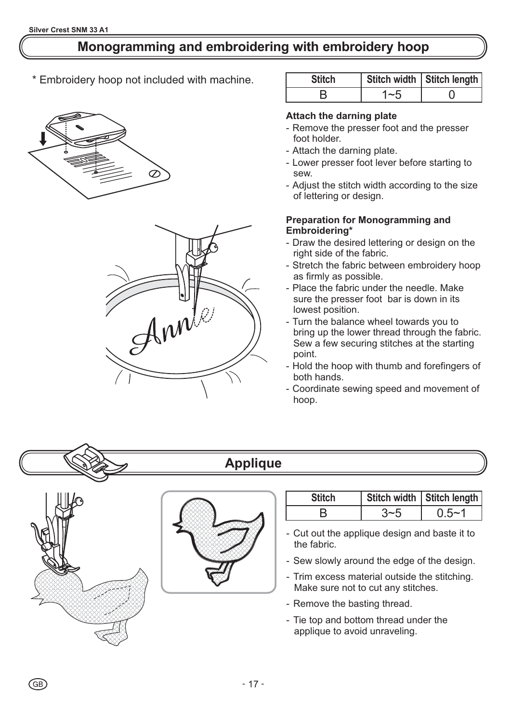# **Monogramming and embroidering with embroidery hoop**

\* Embroidery hoop not included with machine.





| <b>Stitch</b> |         | Stitch width   Stitch length |
|---------------|---------|------------------------------|
|               | $1 - 5$ |                              |

#### **Attach the darning plate**

- Remove the presser foot and the presser foot holder.
- Attach the darning plate.
- Lower presser foot lever before starting to sew.
- Adjust the stitch width according to the size of lettering or design.

#### **Preparation for Monogramming and Embroidering\***

- Draw the desired lettering or design on the right side of the fabric.
- Stretch the fabric between embroidery hoop as firmly as possible.
- Place the fabric under the needle. Make sure the presser foot bar is down in its lowest position.
- Turn the balance wheel towards you to bring up the lower thread through the fabric. Sew a few securing stitches at the starting point.
- Hold the hoop with thumb and forefingers of both hands.
- Coordinate sewing speed and movement of hoop.



# **Applique**



(GB)



| <b>Stitch</b> | Stitch width   Stitch length |
|---------------|------------------------------|
|               | $0.5 - 1$                    |

- Cut out the applique design and baste it to the fabric.
- Sew slowly around the edge of the design.
- Trim excess material outside the stitching. Make sure not to cut any stitches.
- Remove the basting thread.
- Tie top and bottom thread under the applique to avoid unraveling.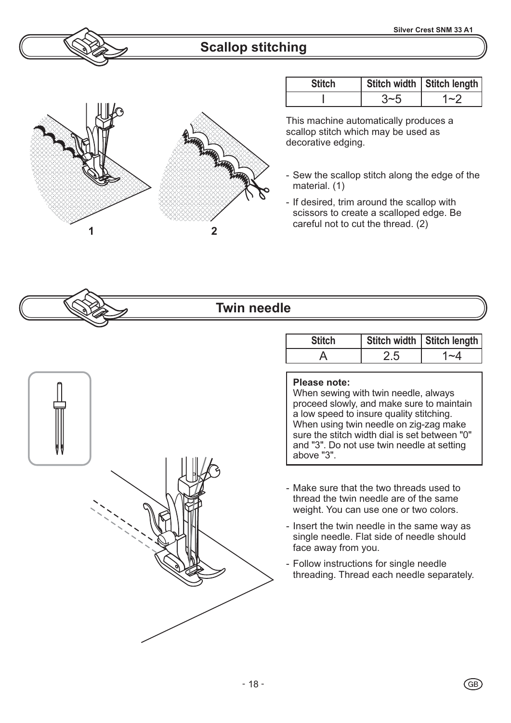# **Scallop stitching**



| <b>Stitch</b> | Stitch width   Stitch length |
|---------------|------------------------------|
|               | $\sim$ )                     |

This machine automatically produces a scallop stitch which may be used as decorative edging.

- Sew the scallop stitch along the edge of the material. (1)
- If desired, trim around the scallop with scissors to create a scalloped edge. Be

# **Twin needle**

# Stitch | Stitch width | Stitch length A 2.5 | 1~4

#### **Please note:**

When sewing with twin needle, always proceed slowly, and make sure to maintain a low speed to insure quality stitching. When using twin needle on zig-zag make sure the stitch width dial is set between "0" and "3". Do not use twin needle at setting above "3".

- Make sure that the two threads used to thread the twin needle are of the same weight. You can use one or two colors.
- Insert the twin needle in the same way as single needle. Flat side of needle should face away from you.
- Follow instructions for single needle threading. Thread each needle separately.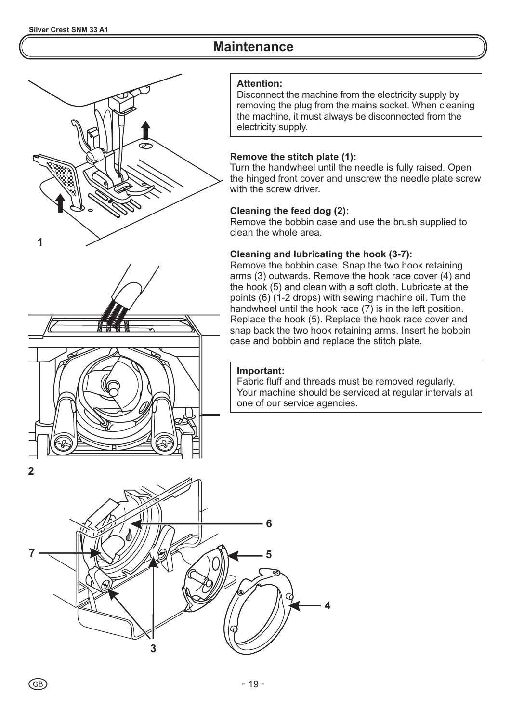# **Maintenance**





#### **Attention:**

Disconnect the machine from the electricity supply by removing the plug from the mains socket. When cleaning the machine, it must always be disconnected from the electricity supply.

#### **Remove the stitch plate (1):**

Turn the handwheel until the needle is fully raised. Open the hinged front cover and unscrew the needle plate screw with the screw driver.

#### **Cleaning the feed dog (2):**

Remove the bobbin case and use the brush supplied to clean the whole area.

#### **Cleaning and lubricating the hook (3-7):**

Remove the bobbin case. Snap the two hook retaining arms (3) outwards. Remove the hook race cover (4) and the hook (5) and clean with a soft cloth. Lubricate at the points (6) (1-2 drops) with sewing machine oil. Turn the handwheel until the hook race (7) is in the left position. Replace the hook (5). Replace the hook race cover and snap back the two hook retaining arms. Insert he bobbin case and bobbin and replace the stitch plate.

#### **Important:**

Fabric fluff and threads must be removed regularly. Your machine should be serviced at regular intervals at one of our service agencies.

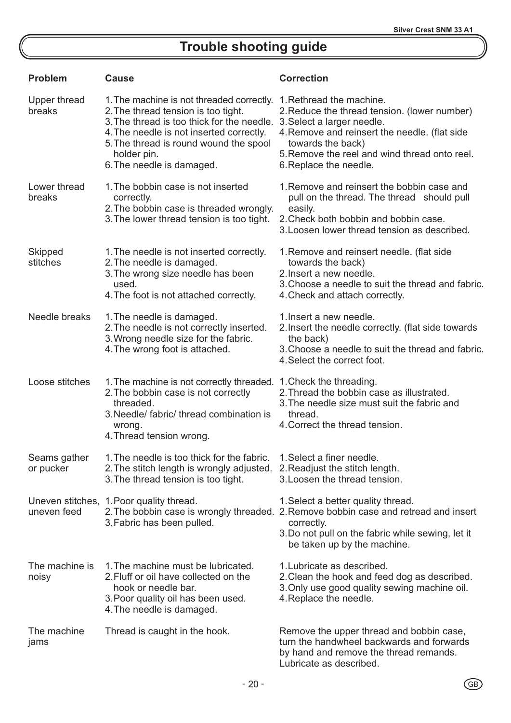# **Trouble shooting guide**

| <b>Problem</b>             | Cause                                                                                                                                                                                                                                                            | <b>Correction</b>                                                                                                                                                                                                                                       |
|----------------------------|------------------------------------------------------------------------------------------------------------------------------------------------------------------------------------------------------------------------------------------------------------------|---------------------------------------------------------------------------------------------------------------------------------------------------------------------------------------------------------------------------------------------------------|
| Upper thread<br>breaks     | 1. The machine is not threaded correctly.<br>2. The thread tension is too tight.<br>3. The thread is too thick for the needle.<br>4. The needle is not inserted correctly.<br>5. The thread is round wound the spool<br>holder pin.<br>6. The needle is damaged. | 1. Rethread the machine.<br>2. Reduce the thread tension. (lower number)<br>3. Select a larger needle.<br>4. Remove and reinsert the needle. (flat side<br>towards the back)<br>5. Remove the reel and wind thread onto reel.<br>6. Replace the needle. |
| Lower thread<br>breaks     | 1. The bobbin case is not inserted<br>correctly.<br>2. The bobbin case is threaded wrongly.<br>3. The lower thread tension is too tight.                                                                                                                         | 1. Remove and reinsert the bobbin case and<br>pull on the thread. The thread should pull<br>easily.<br>2. Check both bobbin and bobbin case.<br>3. Loosen lower thread tension as described.                                                            |
| <b>Skipped</b><br>stitches | 1. The needle is not inserted correctly.<br>2. The needle is damaged.<br>3. The wrong size needle has been<br>used.<br>4. The foot is not attached correctly.                                                                                                    | 1. Remove and reinsert needle. (flat side<br>towards the back)<br>2. Insert a new needle.<br>3. Choose a needle to suit the thread and fabric.<br>4. Check and attach correctly.                                                                        |
| Needle breaks              | 1. The needle is damaged.<br>2. The needle is not correctly inserted.<br>3. Wrong needle size for the fabric.<br>4. The wrong foot is attached.                                                                                                                  | 1. Insert a new needle.<br>2. Insert the needle correctly. (flat side towards<br>the back)<br>3. Choose a needle to suit the thread and fabric.<br>4. Select the correct foot.                                                                          |
| Loose stitches             | 1. The machine is not correctly threaded.<br>2. The bobbin case is not correctly<br>threaded.<br>3. Needle/ fabric/ thread combination is<br>wrong.<br>4. Thread tension wrong.                                                                                  | 1. Check the threading.<br>2. Thread the bobbin case as illustrated.<br>3. The needle size must suit the fabric and<br>thread.<br>4. Correct the thread tension.                                                                                        |
| Seams gather<br>or pucker  | 1. The needle is too thick for the fabric.<br>2. The stitch length is wrongly adjusted. 2. Readjust the stitch length.<br>3. The thread tension is too tight.                                                                                                    | 1. Select a finer needle.<br>3. Loosen the thread tension.                                                                                                                                                                                              |
| uneven feed                | Uneven stitches, 1. Poor quality thread.<br>3. Fabric has been pulled.                                                                                                                                                                                           | 1. Select a better quality thread.<br>2. The bobbin case is wrongly threaded. 2. Remove bobbin case and retread and insert<br>correctly.<br>3. Do not pull on the fabric while sewing, let it<br>be taken up by the machine.                            |
| The machine is<br>noisy    | 1. The machine must be lubricated.<br>2. Fluff or oil have collected on the<br>hook or needle bar.<br>3. Poor quality oil has been used.<br>4. The needle is damaged.                                                                                            | 1. Lubricate as described.<br>2. Clean the hook and feed dog as described.<br>3. Only use good quality sewing machine oil.<br>4. Replace the needle.                                                                                                    |
| The machine<br>jams        | Thread is caught in the hook.                                                                                                                                                                                                                                    | Remove the upper thread and bobbin case,<br>turn the handwheel backwards and forwards<br>by hand and remove the thread remands.                                                                                                                         |

Lubricate as described.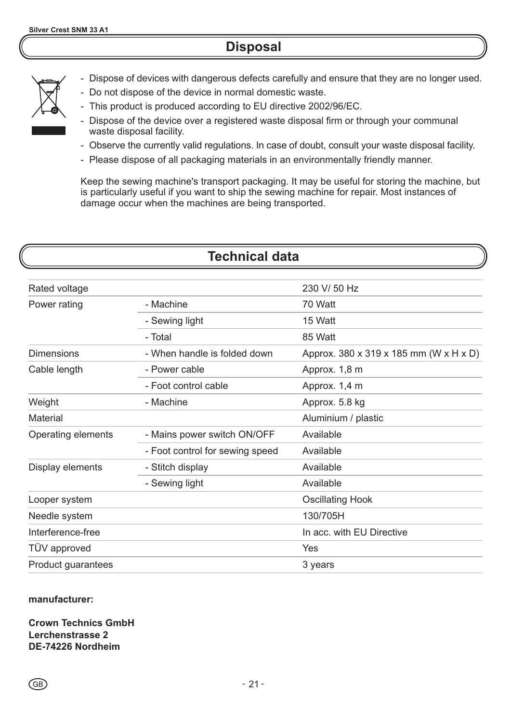# **Disposal**



- Dispose of devices with dangerous defects carefully and ensure that they are no longer used.
- Do not dispose of the device in normal domestic waste.
- This product is produced according to EU directive 2002/96/EC.
- Dispose of the device over a registered waste disposal firm or through your communal waste disposal facility.
- Observe the currently valid regulations. In case of doubt, consult your waste disposal facility.
- Please dispose of all packaging materials in an environmentally friendly manner.

Keep the sewing machine's transport packaging. It may be useful for storing the machine, but is particularly useful if you want to ship the sewing machine for repair. Most instances of damage occur when the machines are being transported.

# **Technical data**

| Rated voltage      |                                 | 230 V/ 50 Hz                           |
|--------------------|---------------------------------|----------------------------------------|
| Power rating       | - Machine                       | 70 Watt                                |
|                    | - Sewing light                  | 15 Watt                                |
|                    | - Total                         | 85 Watt                                |
| <b>Dimensions</b>  | - When handle is folded down    | Approx. 380 x 319 x 185 mm (W x H x D) |
| Cable length       | - Power cable                   | Approx. 1,8 m                          |
|                    | - Foot control cable            | Approx. 1,4 m                          |
| Weight             | - Machine                       | Approx. 5.8 kg                         |
| Material           |                                 | Aluminium / plastic                    |
| Operating elements | - Mains power switch ON/OFF     | Available                              |
|                    | - Foot control for sewing speed | Available                              |
| Display elements   | - Stitch display                | Available                              |
|                    | - Sewing light                  | Available                              |
| Looper system      |                                 | <b>Oscillating Hook</b>                |
| Needle system      |                                 | 130/705H                               |
| Interference-free  |                                 | In acc. with EU Directive              |
| TÜV approved       |                                 | Yes                                    |
| Product guarantees |                                 | 3 years                                |

#### **manufacturer:**

**Crown Technics GmbH Lerchenstrasse 2 DE-74226 Nordheim**